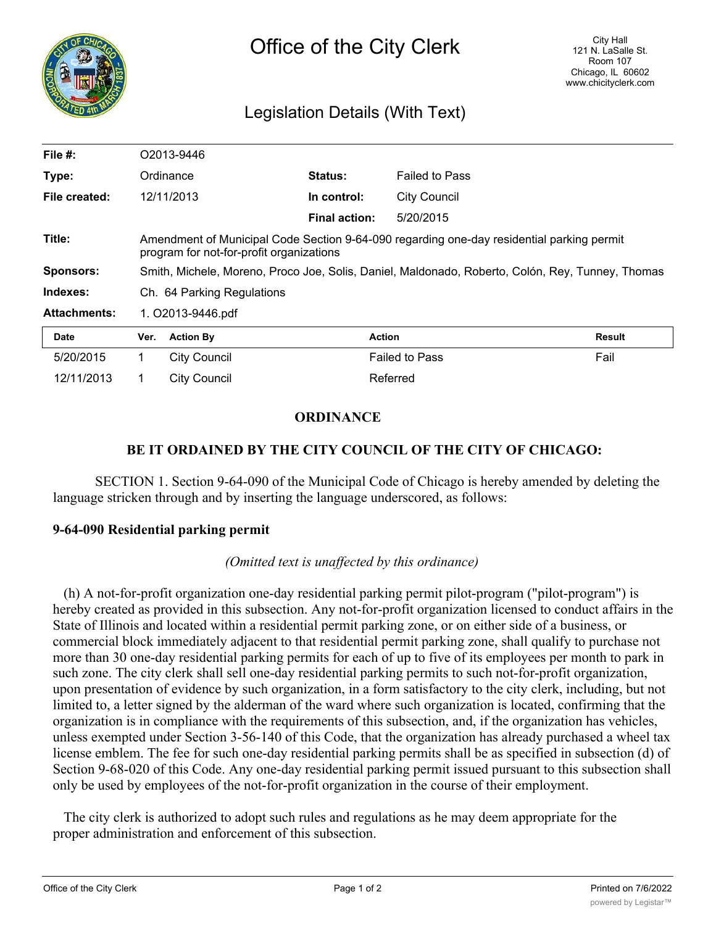

# Legislation Details (With Text)

| File $#$ :          | O2013-9446                                                                                                                            |                     |                      |                       |        |
|---------------------|---------------------------------------------------------------------------------------------------------------------------------------|---------------------|----------------------|-----------------------|--------|
| Type:               |                                                                                                                                       | Ordinance           | <b>Status:</b>       | <b>Failed to Pass</b> |        |
| File created:       |                                                                                                                                       | 12/11/2013          | In control:          | <b>City Council</b>   |        |
|                     |                                                                                                                                       |                     | <b>Final action:</b> | 5/20/2015             |        |
| Title:              | Amendment of Municipal Code Section 9-64-090 regarding one-day residential parking permit<br>program for not-for-profit organizations |                     |                      |                       |        |
| Sponsors:           | Smith, Michele, Moreno, Proco Joe, Solis, Daniel, Maldonado, Roberto, Colón, Rey, Tunney, Thomas                                      |                     |                      |                       |        |
| Indexes:            | Ch. 64 Parking Regulations                                                                                                            |                     |                      |                       |        |
| <b>Attachments:</b> | 1. O2013-9446.pdf                                                                                                                     |                     |                      |                       |        |
| <b>Date</b>         | Ver.                                                                                                                                  | <b>Action By</b>    | <b>Action</b>        |                       | Result |
| 5/20/2015           | 1.                                                                                                                                    | <b>City Council</b> |                      | <b>Failed to Pass</b> | Fail   |
| 12/11/2013          |                                                                                                                                       | <b>City Council</b> |                      | Referred              |        |

## **ORDINANCE**

### **BE IT ORDAINED BY THE CITY COUNCIL OF THE CITY OF CHICAGO:**

SECTION 1. Section 9-64-090 of the Municipal Code of Chicago is hereby amended by deleting the language stricken through and by inserting the language underscored, as follows:

### **9-64-090 Residential parking permit**

#### *(Omitted text is unaffected by this ordinance)*

(h) A not-for-profit organization one-day residential parking permit pilot-program ("pilot-program") is hereby created as provided in this subsection. Any not-for-profit organization licensed to conduct affairs in the State of Illinois and located within a residential permit parking zone, or on either side of a business, or commercial block immediately adjacent to that residential permit parking zone, shall qualify to purchase not more than 30 one-day residential parking permits for each of up to five of its employees per month to park in such zone. The city clerk shall sell one-day residential parking permits to such not-for-profit organization, upon presentation of evidence by such organization, in a form satisfactory to the city clerk, including, but not limited to, a letter signed by the alderman of the ward where such organization is located, confirming that the organization is in compliance with the requirements of this subsection, and, if the organization has vehicles, unless exempted under Section 3-56-140 of this Code, that the organization has already purchased a wheel tax license emblem. The fee for such one-day residential parking permits shall be as specified in subsection (d) of Section 9-68-020 of this Code. Any one-day residential parking permit issued pursuant to this subsection shall only be used by employees of the not-for-profit organization in the course of their employment.

The city clerk is authorized to adopt such rules and regulations as he may deem appropriate for the proper administration and enforcement of this subsection.